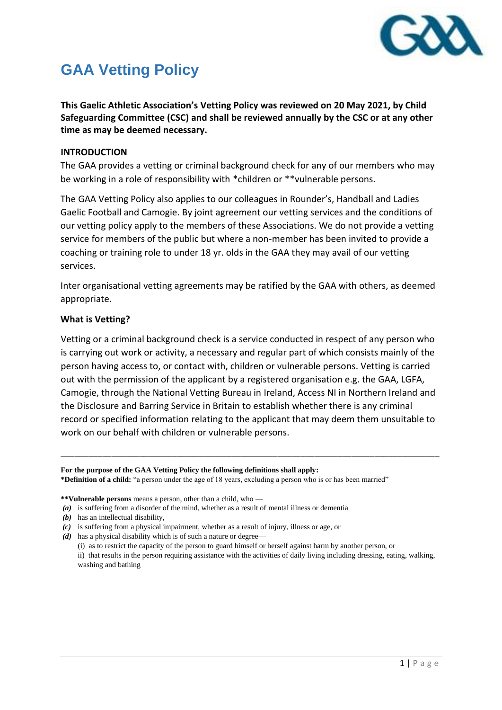

# **GAA Vetting Policy**

**This Gaelic Athletic Association's Vetting Policy was reviewed on 20 May 2021, by Child Safeguarding Committee (CSC) and shall be reviewed annually by the CSC or at any other time as may be deemed necessary.**

## **INTRODUCTION**

The GAA provides a vetting or criminal background check for any of our members who may be working in a role of responsibility with \*children or \*\*vulnerable persons.

The GAA Vetting Policy also applies to our colleagues in Rounder's, Handball and Ladies Gaelic Football and Camogie. By joint agreement our vetting services and the conditions of our vetting policy apply to the members of these Associations. We do not provide a vetting service for members of the public but where a non-member has been invited to provide a coaching or training role to under 18 yr. olds in the GAA they may avail of our vetting services.

Inter organisational vetting agreements may be ratified by the GAA with others, as deemed appropriate.

# **What is Vetting?**

Vetting or a criminal background check is a service conducted in respect of any person who is carrying out work or activity, a necessary and regular part of which consists mainly of the person having access to, or contact with, children or vulnerable persons. Vetting is carried out with the permission of the applicant by a registered organisation e.g. the GAA, LGFA, Camogie, through the National Vetting Bureau in Ireland, Access NI in Northern Ireland and the Disclosure and Barring Service in Britain to establish whether there is any criminal record or specified information relating to the applicant that may deem them unsuitable to work on our behalf with children or vulnerable persons.

\_\_\_\_\_\_\_\_\_\_\_\_\_\_\_\_\_\_\_\_\_\_\_\_\_\_\_\_\_\_\_\_\_\_\_\_\_\_\_\_\_\_\_\_\_\_\_\_\_\_\_\_\_\_\_\_\_\_\_\_\_\_\_\_\_\_\_\_\_\_\_\_\_\_\_\_\_\_\_\_\_\_

**For the purpose of the GAA Vetting Policy the following definitions shall apply: \*Definition of a child:** "a person under the age of 18 years, excluding a person who is or has been married"

*(b)* has an intellectual disability,

- *(d)* has a physical disability which is of such a nature or degree—
	- (i) as to restrict the capacity of the person to guard himself or herself against harm by another person, or

**<sup>\*\*</sup>Vulnerable persons** means a person, other than a child, who —

*<sup>(</sup>a)* is suffering from a disorder of the mind, whether as a result of mental illness or dementia

*<sup>(</sup>c)* is suffering from a physical impairment, whether as a result of injury, illness or age, or

ii) that results in the person requiring assistance with the activities of daily living including dressing, eating, walking, washing and bathing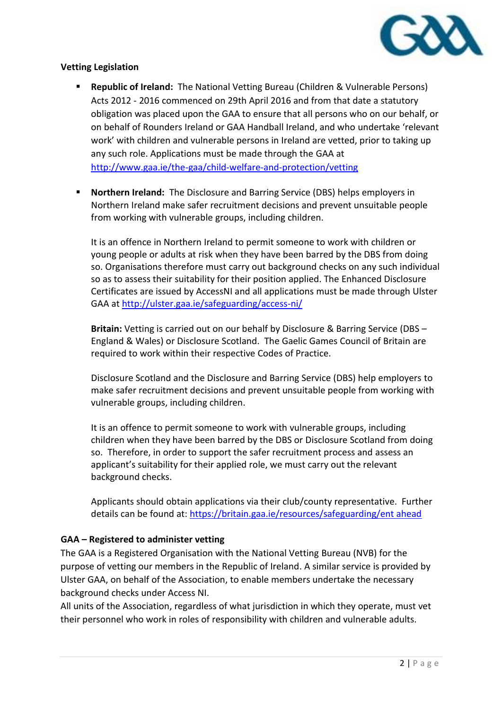

# **Vetting Legislation**

- **Republic of Ireland:** The National Vetting Bureau (Children & Vulnerable Persons) Acts 2012 - 2016 commenced on 29th April 2016 and from that date a statutory obligation was placed upon the GAA to ensure that all persons who on our behalf, or on behalf of Rounders Ireland or GAA Handball Ireland, and who undertake 'relevant work' with children and vulnerable persons in Ireland are vetted, prior to taking up any such role. Applications must be made through the GAA at <http://www.gaa.ie/the-gaa/child-welfare-and-protection/vetting>
- **Northern Ireland:** The Disclosure and Barring Service (DBS) helps employers in Northern Ireland make safer recruitment decisions and prevent unsuitable people from working with vulnerable groups, including children.

It is an offence in Northern Ireland to permit someone to work with children or young people or adults at risk when they have been barred by the DBS from doing so. Organisations therefore must carry out background checks on any such individual so as to assess their suitability for their position applied. The Enhanced Disclosure Certificates are issued by AccessNI and all applications must be made through Ulster GAA a[t http://ulster.gaa.ie/safeguarding/access-ni/](http://ulster.gaa.ie/safeguarding/access-ni/)

**Britain:** Vetting is carried out on our behalf by Disclosure & Barring Service (DBS – England & Wales) or Disclosure Scotland. The Gaelic Games Council of Britain are required to work within their respective Codes of Practice.

Disclosure Scotland and the Disclosure and Barring Service (DBS) help employers to make safer recruitment decisions and prevent unsuitable people from working with vulnerable groups, including children.

It is an offence to permit someone to work with vulnerable groups, including children when they have been barred by the DBS or Disclosure Scotland from doing so. Therefore, in order to support the safer recruitment process and assess an applicant's suitability for their applied role, we must carry out the relevant background checks.

Applicants should obtain applications via their club/county representative. Further details can be found at: [https://britain.gaa.ie/resources/safeguarding/ent ahead](https://britain.gaa.ie/resources/safeguarding/ent%20ahead) 

# **GAA – Registered to administer vetting**

The GAA is a Registered Organisation with the National Vetting Bureau (NVB) for the purpose of vetting our members in the Republic of Ireland. A similar service is provided by Ulster GAA, on behalf of the Association, to enable members undertake the necessary background checks under Access NI.

All units of the Association, regardless of what jurisdiction in which they operate, must vet their personnel who work in roles of responsibility with children and vulnerable adults.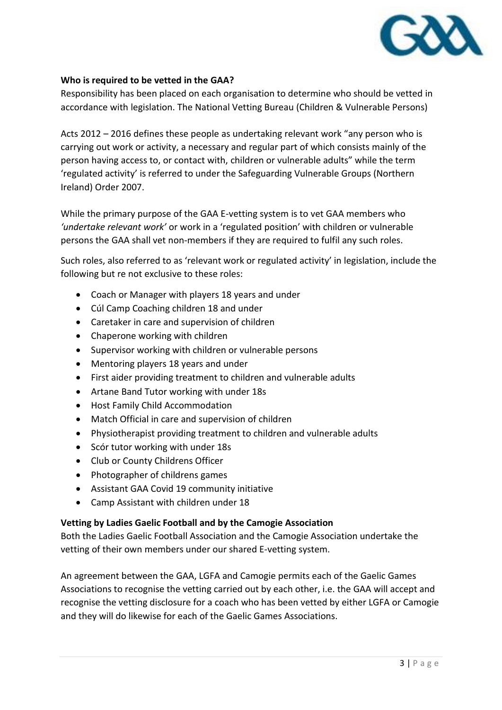

## **Who is required to be vetted in the GAA?**

Responsibility has been placed on each organisation to determine who should be vetted in accordance with legislation. The National Vetting Bureau (Children & Vulnerable Persons)

Acts 2012 – 2016 defines these people as undertaking relevant work "any person who is carrying out work or activity, a necessary and regular part of which consists mainly of the person having access to, or contact with, children or vulnerable adults" while the term 'regulated activity' is referred to under the Safeguarding Vulnerable Groups (Northern Ireland) Order 2007.

While the primary purpose of the GAA E-vetting system is to vet GAA members who *'undertake relevant work'* or work in a 'regulated position' with children or vulnerable persons the GAA shall vet non-members if they are required to fulfil any such roles.

Such roles, also referred to as 'relevant work or regulated activity' in legislation, include the following but re not exclusive to these roles:

- Coach or Manager with players 18 years and under
- Cúl Camp Coaching children 18 and under
- Caretaker in care and supervision of children
- Chaperone working with children
- Supervisor working with children or vulnerable persons
- Mentoring players 18 years and under
- First aider providing treatment to children and vulnerable adults
- Artane Band Tutor working with under 18s
- Host Family Child Accommodation
- Match Official in care and supervision of children
- Physiotherapist providing treatment to children and vulnerable adults
- Scór tutor working with under 18s
- Club or County Childrens Officer
- Photographer of childrens games
- Assistant GAA Covid 19 community initiative
- Camp Assistant with children under 18

# **Vetting by Ladies Gaelic Football and by the Camogie Association**

Both the Ladies Gaelic Football Association and the Camogie Association undertake the vetting of their own members under our shared E-vetting system.

An agreement between the GAA, LGFA and Camogie permits each of the Gaelic Games Associations to recognise the vetting carried out by each other, i.e. the GAA will accept and recognise the vetting disclosure for a coach who has been vetted by either LGFA or Camogie and they will do likewise for each of the Gaelic Games Associations.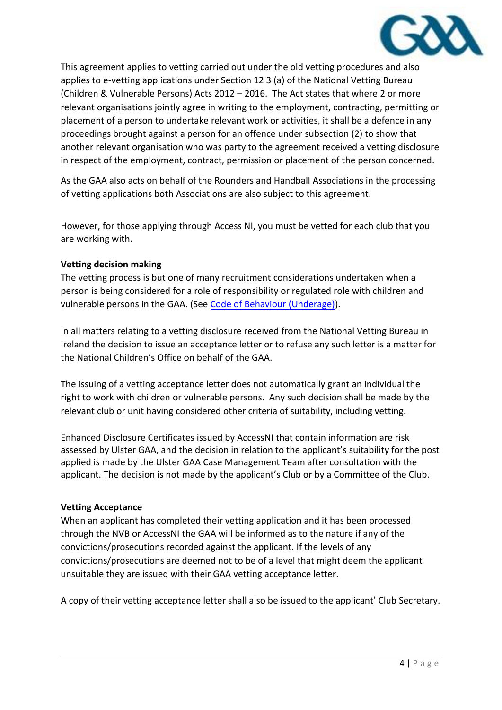

This agreement applies to vetting carried out under the old vetting procedures and also applies to e-vetting applications under Section 12 3 (a) of the National Vetting Bureau (Children & Vulnerable Persons) Acts 2012 – 2016. The Act states that where 2 or more relevant organisations jointly agree in writing to the employment, contracting, permitting or placement of a person to undertake relevant work or activities, it shall be a defence in any proceedings brought against a person for an offence under subsection (2) to show that another relevant organisation who was party to the agreement received a vetting disclosure in respect of the employment, contract, permission or placement of the person concerned.

As the GAA also acts on behalf of the Rounders and Handball Associations in the processing of vetting applications both Associations are also subject to this agreement.

However, for those applying through Access NI, you must be vetted for each club that you are working with.

## **Vetting decision making**

The vetting process is but one of many recruitment considerations undertaken when a person is being considered for a role of responsibility or regulated role with children and vulnerable persons in the GAA. (See [Code of Behaviour \(Underage\)\)](https://www.gaa.ie/the-gaa/child-safeguarding-and-protection/code-of-behaviour).

In all matters relating to a vetting disclosure received from the National Vetting Bureau in Ireland the decision to issue an acceptance letter or to refuse any such letter is a matter for the National Children's Office on behalf of the GAA.

The issuing of a vetting acceptance letter does not automatically grant an individual the right to work with children or vulnerable persons. Any such decision shall be made by the relevant club or unit having considered other criteria of suitability, including vetting.

Enhanced Disclosure Certificates issued by AccessNI that contain information are risk assessed by Ulster GAA, and the decision in relation to the applicant's suitability for the post applied is made by the Ulster GAA Case Management Team after consultation with the applicant. The decision is not made by the applicant's Club or by a Committee of the Club.

#### **Vetting Acceptance**

When an applicant has completed their vetting application and it has been processed through the NVB or AccessNI the GAA will be informed as to the nature if any of the convictions/prosecutions recorded against the applicant. If the levels of any convictions/prosecutions are deemed not to be of a level that might deem the applicant unsuitable they are issued with their GAA vetting acceptance letter.

A copy of their vetting acceptance letter shall also be issued to the applicant' Club Secretary.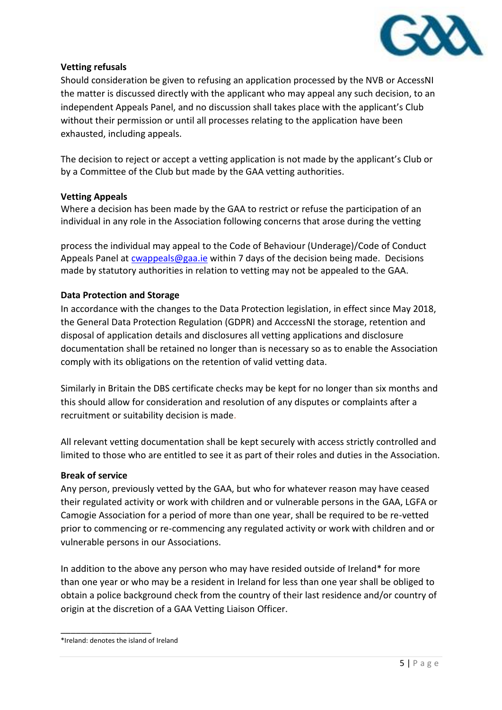

## **Vetting refusals**

Should consideration be given to refusing an application processed by the NVB or AccessNI the matter is discussed directly with the applicant who may appeal any such decision, to an independent Appeals Panel, and no discussion shall takes place with the applicant's Club without their permission or until all processes relating to the application have been exhausted, including appeals.

The decision to reject or accept a vetting application is not made by the applicant's Club or by a Committee of the Club but made by the GAA vetting authorities.

#### **Vetting Appeals**

Where a decision has been made by the GAA to restrict or refuse the participation of an individual in any role in the Association following concerns that arose during the vetting

process the individual may appeal to the Code of Behaviour (Underage)/Code of Conduct Appeals Panel at [cwappeals@gaa.ie](mailto:cwappeals@gaa.ie) within 7 days of the decision being made. Decisions made by statutory authorities in relation to vetting may not be appealed to the GAA.

## **Data Protection and Storage**

In accordance with the changes to the Data Protection legislation, in effect since May 2018, the General Data Protection Regulation (GDPR) and AcccessNI the storage, retention and disposal of application details and disclosures all vetting applications and disclosure documentation shall be retained no longer than is necessary so as to enable the Association comply with its obligations on the retention of valid vetting data.

Similarly in Britain the DBS certificate checks may be kept for no longer than six months and this should allow for consideration and resolution of any disputes or complaints after a recruitment or suitability decision is made.

All relevant vetting documentation shall be kept securely with access strictly controlled and limited to those who are entitled to see it as part of their roles and duties in the Association.

#### **Break of service**

Any person, previously vetted by the GAA, but who for whatever reason may have ceased their regulated activity or work with children and or vulnerable persons in the GAA, LGFA or Camogie Association for a period of more than one year, shall be required to be re-vetted prior to commencing or re-commencing any regulated activity or work with children and or vulnerable persons in our Associations.

In addition to the above any person who may have resided outside of Ireland\* for more than one year or who may be a resident in Ireland for less than one year shall be obliged to obtain a police background check from the country of their last residence and/or country of origin at the discretion of a GAA Vetting Liaison Officer.

\_\_\_\_\_\_\_\_\_\_\_\_\_\_\_\_\_\_

<sup>\*</sup>Ireland: denotes the island of Ireland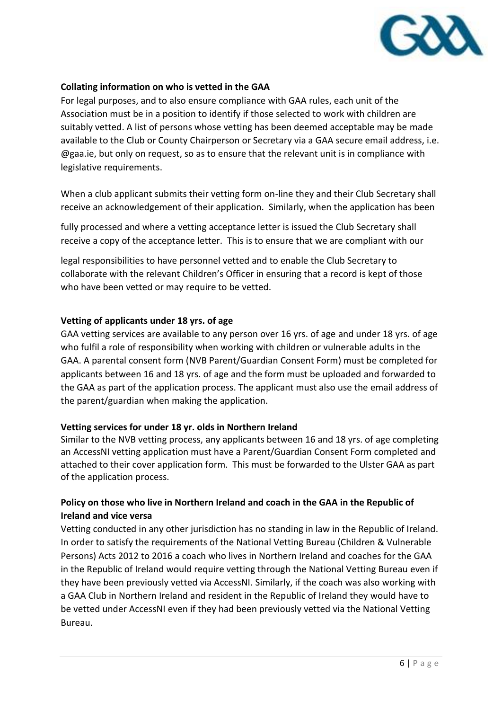

## **Collating information on who is vetted in the GAA**

For legal purposes, and to also ensure compliance with GAA rules, each unit of the Association must be in a position to identify if those selected to work with children are suitably vetted. A list of persons whose vetting has been deemed acceptable may be made available to the Club or County Chairperson or Secretary via a GAA secure email address, i.e. @gaa.ie, but only on request, so as to ensure that the relevant unit is in compliance with legislative requirements.

When a club applicant submits their vetting form on-line they and their Club Secretary shall receive an acknowledgement of their application. Similarly, when the application has been

fully processed and where a vetting acceptance letter is issued the Club Secretary shall receive a copy of the acceptance letter. This is to ensure that we are compliant with our

legal responsibilities to have personnel vetted and to enable the Club Secretary to collaborate with the relevant Children's Officer in ensuring that a record is kept of those who have been vetted or may require to be vetted.

#### **Vetting of applicants under 18 yrs. of age**

GAA vetting services are available to any person over 16 yrs. of age and under 18 yrs. of age who fulfil a role of responsibility when working with children or vulnerable adults in the GAA. A parental consent form [\(NVB Parent/Guardian Consent Form\)](http://www.gaa.ie/mm/Document/TheGAA/ChildProtectionandWelfare/12/73/47/3NVB3ParentGuardianConsentForm_Neutral.pdf) must be completed for applicants between 16 and 18 yrs. of age and the form must be uploaded and forwarded to the GAA as part of the application process. The applicant must also use the email address of the parent/guardian when making the application.

#### **Vetting services for under 18 yr. olds in Northern Ireland**

Similar to the NVB vetting process, any applicants between 16 and 18 yrs. of age completing an AccessNI vetting application must have a Parent/Guardian Consent Form completed and attached to their cover application form. This must be forwarded to the Ulster GAA as part of the application process.

# **Policy on those who live in Northern Ireland and coach in the GAA in the Republic of Ireland and vice versa**

Vetting conducted in any other jurisdiction has no standing in law in the Republic of Ireland. In order to satisfy the requirements of the National Vetting Bureau (Children & Vulnerable Persons) Acts 2012 to 2016 a coach who lives in Northern Ireland and coaches for the GAA in the Republic of Ireland would require vetting through the National Vetting Bureau even if they have been previously vetted via AccessNI. Similarly, if the coach was also working with a GAA Club in Northern Ireland and resident in the Republic of Ireland they would have to be vetted under AccessNI even if they had been previously vetted via the National Vetting Bureau.